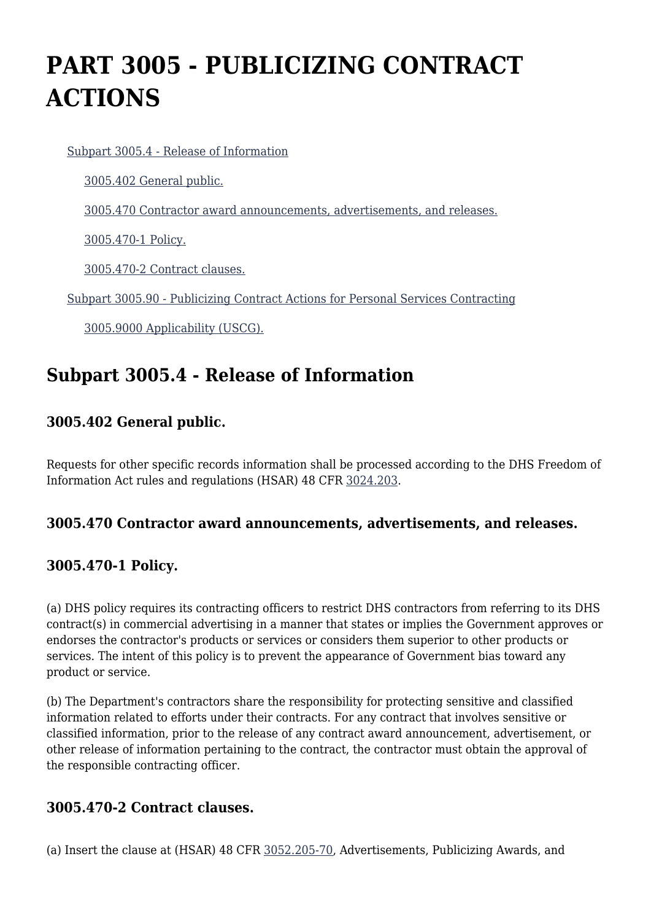# **PART 3005 - PUBLICIZING CONTRACT ACTIONS**

#### [Subpart 3005.4 - Release of Information](https://origin-www.acquisition.gov/%5Brp:link:hsar-part-3005%5D#Subpart_3005_4_T48_702961)

[3005.402 General public.](https://origin-www.acquisition.gov/%5Brp:link:hsar-part-3005%5D#Section_3005_402_T48_70296111)

[3005.470 Contractor award announcements, advertisements, and releases.](https://origin-www.acquisition.gov/%5Brp:link:hsar-part-3005%5D#Section_3005_470_T48_70296112)

[3005.470-1 Policy.](https://origin-www.acquisition.gov/%5Brp:link:hsar-part-3005%5D#Section_3005_470_1_T48_70296113)

[3005.470-2 Contract clauses.](https://origin-www.acquisition.gov/%5Brp:link:hsar-part-3005%5D#Section_3005_470_2_T48_70296114)

[Subpart 3005.90 - Publicizing Contract Actions for Personal Services Contracting](https://origin-www.acquisition.gov/%5Brp:link:hsar-part-3005%5D#Subpart_3005_90_T48_702962)

[3005.9000 Applicability \(USCG\).](https://origin-www.acquisition.gov/%5Brp:link:hsar-part-3005%5D#Section_3005_9000_T48_70296211)

### **Subpart 3005.4 - Release of Information**

#### **3005.402 General public.**

Requests for other specific records information shall be processed according to the DHS Freedom of Information Act rules and regulations (HSAR) 48 CFR [3024.203.](https://origin-www.acquisition.gov/%5Brp:link:hsar-part-3024%5D#Section_3024_203_T48_7021124211)

#### **3005.470 Contractor award announcements, advertisements, and releases.**

#### **3005.470-1 Policy.**

(a) DHS policy requires its contracting officers to restrict DHS contractors from referring to its DHS contract(s) in commercial advertising in a manner that states or implies the Government approves or endorses the contractor's products or services or considers them superior to other products or services. The intent of this policy is to prevent the appearance of Government bias toward any product or service.

(b) The Department's contractors share the responsibility for protecting sensitive and classified information related to efforts under their contracts. For any contract that involves sensitive or classified information, prior to the release of any contract award announcement, advertisement, or other release of information pertaining to the contract, the contractor must obtain the approval of the responsible contracting officer.

#### **3005.470-2 Contract clauses.**

(a) Insert the clause at (HSAR) 48 CFR [3052.205-70,](https://origin-www.acquisition.gov/%5Brp:link:hsar-part-3052%5D#Section_3052_205_70_T48_7021551214) Advertisements, Publicizing Awards, and